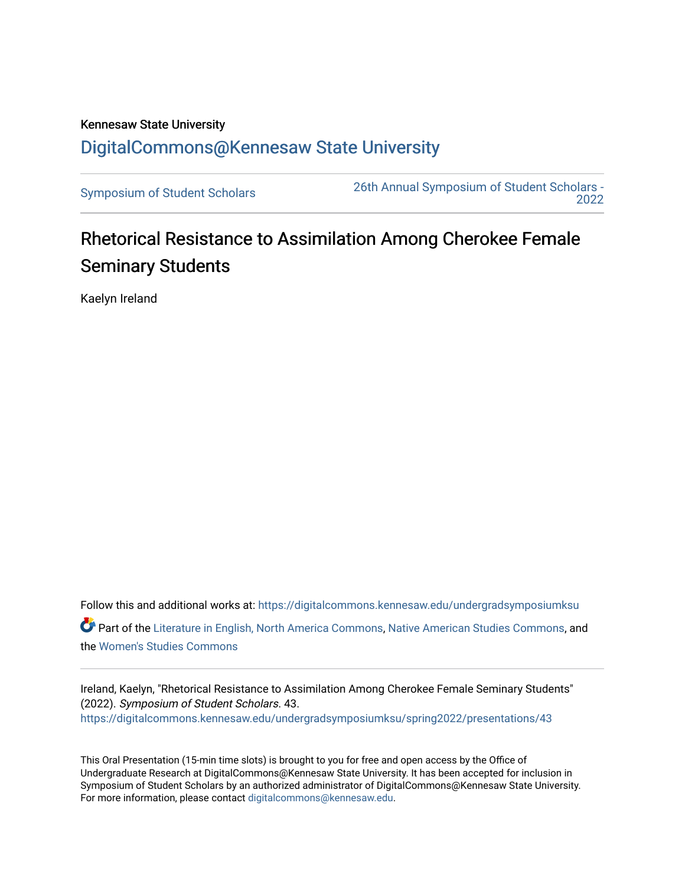## Kennesaw State University [DigitalCommons@Kennesaw State University](https://digitalcommons.kennesaw.edu/)

[Symposium of Student Scholars](https://digitalcommons.kennesaw.edu/undergradsymposiumksu) [26th Annual Symposium of Student Scholars -](https://digitalcommons.kennesaw.edu/undergradsymposiumksu/spring2022)  [2022](https://digitalcommons.kennesaw.edu/undergradsymposiumksu/spring2022) 

## Rhetorical Resistance to Assimilation Among Cherokee Female Seminary Students

Kaelyn Ireland

Follow this and additional works at: [https://digitalcommons.kennesaw.edu/undergradsymposiumksu](https://digitalcommons.kennesaw.edu/undergradsymposiumksu?utm_source=digitalcommons.kennesaw.edu%2Fundergradsymposiumksu%2Fspring2022%2Fpresentations%2F43&utm_medium=PDF&utm_campaign=PDFCoverPages)  Part of the [Literature in English, North America Commons,](http://network.bepress.com/hgg/discipline/458?utm_source=digitalcommons.kennesaw.edu%2Fundergradsymposiumksu%2Fspring2022%2Fpresentations%2F43&utm_medium=PDF&utm_campaign=PDFCoverPages) [Native American Studies Commons,](http://network.bepress.com/hgg/discipline/1434?utm_source=digitalcommons.kennesaw.edu%2Fundergradsymposiumksu%2Fspring2022%2Fpresentations%2F43&utm_medium=PDF&utm_campaign=PDFCoverPages) and the [Women's Studies Commons](http://network.bepress.com/hgg/discipline/561?utm_source=digitalcommons.kennesaw.edu%2Fundergradsymposiumksu%2Fspring2022%2Fpresentations%2F43&utm_medium=PDF&utm_campaign=PDFCoverPages) 

Ireland, Kaelyn, "Rhetorical Resistance to Assimilation Among Cherokee Female Seminary Students" (2022). Symposium of Student Scholars. 43. [https://digitalcommons.kennesaw.edu/undergradsymposiumksu/spring2022/presentations/43](https://digitalcommons.kennesaw.edu/undergradsymposiumksu/spring2022/presentations/43?utm_source=digitalcommons.kennesaw.edu%2Fundergradsymposiumksu%2Fspring2022%2Fpresentations%2F43&utm_medium=PDF&utm_campaign=PDFCoverPages) 

This Oral Presentation (15-min time slots) is brought to you for free and open access by the Office of Undergraduate Research at DigitalCommons@Kennesaw State University. It has been accepted for inclusion in Symposium of Student Scholars by an authorized administrator of DigitalCommons@Kennesaw State University. For more information, please contact [digitalcommons@kennesaw.edu.](mailto:digitalcommons@kennesaw.edu)